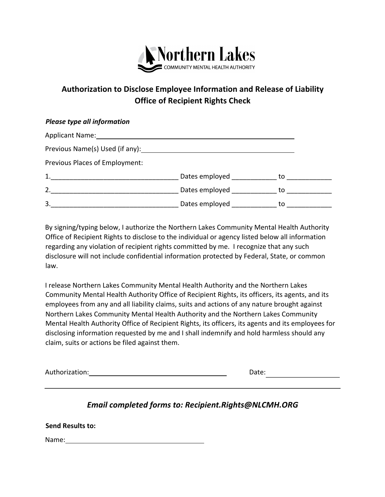

## **Authorization to Disclose Employee Information and Release of Liability Office of Recipient Rights Check**

## *Please type all information*

| Applicant Name:                 |                         |    |
|---------------------------------|-------------------------|----|
| Previous Name(s) Used (if any): |                         |    |
| Previous Places of Employment:  |                         |    |
| 1.                              | Dates employed          | to |
| 2.                              | Dates employed ________ | to |
| 3.                              | Dates employed          | to |

By signing/typing below, I authorize the Northern Lakes Community Mental Health Authority Office of Recipient Rights to disclose to the individual or agency listed below all information regarding any violation of recipient rights committed by me. I recognize that any such disclosure will not include confidential information protected by Federal, State, or common law.

I release Northern Lakes Community Mental Health Authority and the Northern Lakes Community Mental Health Authority Office of Recipient Rights, its officers, its agents, and its employees from any and all liability claims, suits and actions of any nature brought against Northern Lakes Community Mental Health Authority and the Northern Lakes Community Mental Health Authority Office of Recipient Rights, its officers, its agents and its employees for disclosing information requested by me and I shall indemnify and hold harmless should any claim, suits or actions be filed against them.

| Authorization: | 1っ+へ<br>vale. |
|----------------|---------------|
|                |               |

## *Email completed forms to: Recipient.Rights@NLCMH.ORG*

| <b>Send Results to:</b> |  |
|-------------------------|--|
| Name:                   |  |
|                         |  |